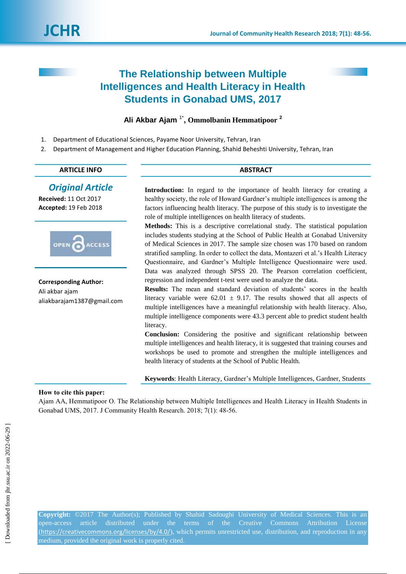# **The Relationship between Multiple Intelligences and Health Literacy in Health Students in Gonabad UMS, 2017**

# **Ali Akbar Ajam** 1\* **, Ommolbanin Hemmatipoor <sup>2</sup>**

- 1. Department of Educational Sciences, Payame Noor University, Tehran, Iran
- 2. Department of Management and Higher Education Planning, Shahid Beheshti University, Tehran, Iran

#### **ARTICLE INFO ABSTRACT**

# *Original Article*

**Received:** 11 Oct 2017 **Accepted:** 19 Feb 2018



**Corresponding Author:** Ali akbar ajam aliakbarajam1387@gmail.com

Introduction: In regard to the importance of health literacy for creating a healthy society, the role of Howard Gardner"s multiple intelligences is among the factors influencing health literacy. The purpose of this study is to investigate the role of multiple intelligences on health literacy of students.

**Methods:** This is a descriptive correlational study. The statistical population includes students studying at the School of Public Health at Gonabad University of Medical Sciences in 2017. The sample size chosen was 170 based on random stratified sampling. In order to collect the data, Montazeri et al."s Health Literacy Questionnaire, and Gardner"s Multiple Intelligence Questionnaire were used. Data was analyzed through SPSS 20. The Pearson correlation coefficient, regression and independent t-test were used to analyze the data.

**Results:** The mean and standard deviation of students' scores in the health literacy variable were  $62.01 \pm 9.17$ . The results showed that all aspects of multiple intelligences have a meaningful relationship with health literacy. Also, multiple intelligence components were 43.3 percent able to predict student health literacy.

**Conclusion:** Considering the positive and significant relationship between multiple intelligences and health literacy, it is suggested that training courses and workshops be used to promote and strengthen the multiple intelligences and health literacy of students at the School of Public Health.

**Keywords**: Health Literacy, Gardner"s Multiple Intelligences, Gardner, Students

### **How to cite this paper:**

Ajam AA, Hemmatipoor O. The Relationship between Multiple Intelligences and Health Literacy in Health Students in Gonabad UMS, 2017. J Community Health Research. 2018; 7(1): 48-56.

**Copyright:** ©2017 The Author(s); Published by Shahid Sadoughi University of Medical Sciences. This is an open-access article distributed under the terms of the Creative Commons Attribution License (<https://creativecommons.org/licenses/by/4.0/>), which permits unrestricted use, distribution, and reproduction in any medium, provided the original work is properly cited.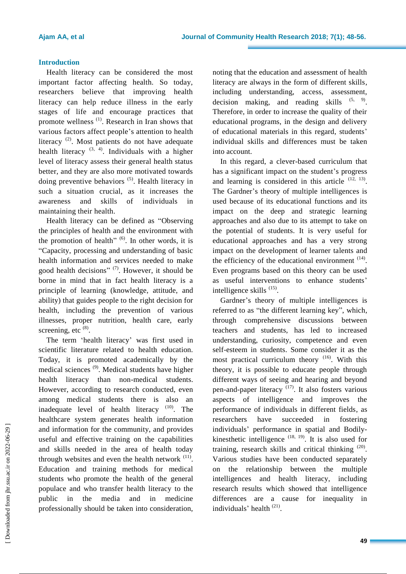# **Introduction**

Health literacy can be considered the most important factor affecting health. So today, researchers believe that improving health literacy can help reduce illness in the early stages of life and encourage practices that promote wellness<sup>(1)</sup>. Research in Iran shows that various factors affect people"s attention to health literacy<sup>(2)</sup>. Most patients do not have adequate health literacy  $(3, 4)$ . Individuals with a higher level of literacy assess their general health status better, and they are also more motivated towards doing preventive behaviors  $(5)$ . Health literacy in such a situation crucial, as it increases the awareness and skills of individuals in maintaining their health.

Health literacy can be defined as "Observing the principles of health and the environment with the promotion of health" $(6)$ . In other words, it is "Capacity, processing and understanding of basic health information and services needed to make good health decisions"<sup>(7)</sup>. However, it should be borne in mind that in fact health literacy is a principle of learning (knowledge, attitude, and ability) that guides people to the right decision for health, including the prevention of various illnesses, proper nutrition, health care, early screening, etc  $^{(8)}$ .

The term 'health literacy' was first used in scientific literature related to health education. Today, it is promoted academically by the medical sciences (9). Medical students have higher health literacy than non-medical students. However, according to research conducted, even among medical students there is also an inadequate level of health literacy  $(10)$ . The healthcare system generates health information and information for the community, and provides useful and effective training on the capabilities and skills needed in the area of health today through websites and even the health network  $(11)$ . Education and training methods for medical students who promote the health of the general populace and who transfer health literacy to the public in the media and in medicine professionally should be taken into consideration,

noting that the education and assessment of health literacy are always in the form of different skills, including understanding, access, assessment, decision making, and reading skills  $(5, 9)$ . Therefore, in order to increase the quality of their educational programs, in the design and delivery of educational materials in this regard, students" individual skills and differences must be taken into account.

In this regard, a clever-based curriculum that has a significant impact on the student's progress and learning is considered in this article  $(12, 13)$ . The Gardner's theory of multiple intelligences is used because of its educational functions and its impact on the deep and strategic learning approaches and also due to its attempt to take on the potential of students. It is very useful for educational approaches and has a very strong impact on the development of learner talents and the efficiency of the educational environment  $(14)$ . Even programs based on this theory can be used as useful interventions to enhance students" intelligence skills<sup>(15)</sup>.

Gardner"s theory of multiple intelligences is referred to as "the different learning key", which, through comprehensive discussions between teachers and students, has led to increased understanding, curiosity, competence and even self-esteem in students. Some consider it as the most practical curriculum theory <sup>(16)</sup>. With this theory, it is possible to educate people through different ways of seeing and hearing and beyond pen-and-paper literacy  $(17)$ . It also fosters various aspects of intelligence and improves the performance of individuals in different fields, as researchers have succeeded in fostering individuals" performance in spatial and Bodilykinesthetic intelligence  $(18, 19)$ . It is also used for training, research skills and critical thinking  $(20)$ . Various studies have been conducted separately on the relationship between the multiple intelligences and health literacy, including research results which showed that intelligence differences are a cause for inequality in individuals' health<sup>(21)</sup>.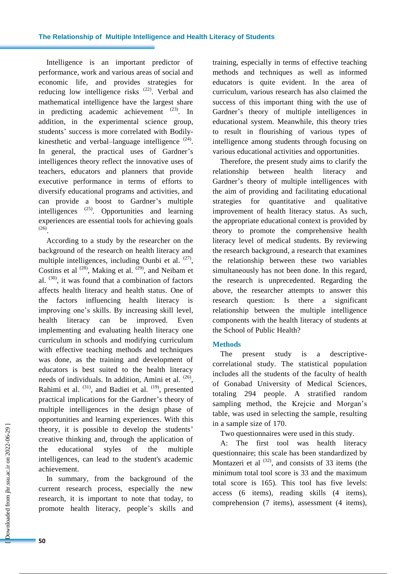### **The Relationship of Multiple Intelligence and Health Literacy of Students**

Intelligence is an important predictor of performance, work and various areas of social and economic life, and provides strategies for reducing low intelligence risks <sup>(22)</sup>. Verbal and mathematical intelligence have the largest share in predicting academic achievement  $(23)$ . In addition, in the experimental science group, students' success is more correlated with Bodilykinesthetic and verbal-language intelligence  $(24)$ . In general, the practical uses of Gardner's intelligences theory reflect the innovative uses of teachers, educators and planners that provide executive performance in terms of efforts to diversify educational programs and activities, and can provide a boost to Gardner"s multiple intelligences  $^{(25)}$ . Opportunities and learning experiences are essential tools for achieving goals (26) .

According to a study by the researcher on the background of the research on health literacy and multiple intelligences, including Ounbi et al.  $(27)$ , Costins et al  $^{(28)}$ , Making et al.  $^{(29)}$ , and Neibam et al.  $(30)$ , it was found that a combination of factors affects health literacy and health status. One of the factors influencing health literacy is improving one"s skills. By increasing skill level, health literacy can be improved. Even implementing and evaluating health literacy one curriculum in schools and modifying curriculum with effective teaching methods and techniques was done, as the training and development of educators is best suited to the health literacy needs of individuals. In addition, Amini et al. <sup>(26)</sup>, Rahimi et al.  $(31)$ , and Badiei et al.  $(19)$ , presented practical implications for the Gardner"s theory of multiple intelligences in the design phase of opportunities and learning experiences. With this theory, it is possible to develop the students" creative thinking and, through the application of the educational styles of the multiple intelligences, can lead to the student's academic achievement.

In summary, from the background of the current research process, especially the new research, it is important to note that today, to promote health literacy, people"s skills and training, especially in terms of effective teaching methods and techniques as well as informed educators is quite evident. In the area of curriculum, various research has also claimed the success of this important thing with the use of Gardner"s theory of multiple intelligences in educational system. Meanwhile, this theory tries to result in flourishing of various types of intelligence among students through focusing on various educational activities and opportunities.

Therefore, the present study aims to clarify the relationship between health literacy and Gardner's theory of multiple intelligences with the aim of providing and facilitating educational strategies for quantitative and qualitative improvement of health literacy status. As such, the appropriate educational context is provided by theory to promote the comprehensive health literacy level of medical students. By reviewing the research background, a research that examines the relationship between these two variables simultaneously has not been done. In this regard, the research is unprecedented. Regarding the above, the researcher attempts to answer this research question: Is there a significant relationship between the multiple intelligence components with the health literacy of students at the School of Public Health?

### **Methods**

The present study is a descriptivecorrelational study. The statistical population includes all the students of the faculty of health of Gonabad University of Medical Sciences, totaling 294 people. A stratified random sampling method, the Krejcie and Morgan's table, was used in selecting the sample, resulting in a sample size of 170.

Two questionnaires were used in this study.

A: The first tool was health literacy questionnaire; this scale has been standardized by Montazeri et al  $^{(32)}$ , and consists of 33 items (the minimum total tool score is 33 and the maximum total score is 165). This tool has five levels: access (6 items), reading skills (4 items), comprehension (7 items), assessment (4 items),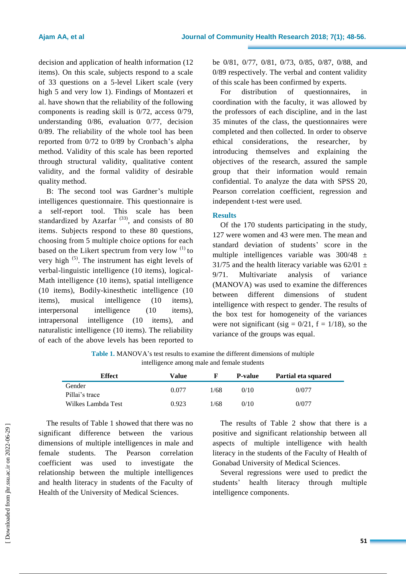decision and application of health information (12 items). On this scale, subjects respond to a scale of 33 questions on a 5-level Likert scale (very high 5 and very low 1). Findings of Montazeri et al. have shown that the reliability of the following components is reading skill is 0/72, access 0/79, understanding 0/86, evaluation 0/77, decision 0/89. The reliability of the whole tool has been reported from 0/72 to 0/89 by Cronbach"s alpha method. Validity of this scale has been reported through structural validity, qualitative content validity, and the formal validity of desirable quality method.

B: The second tool was Gardner's multiple intelligences questionnaire. This questionnaire is a self-report tool. This scale has been standardized by Azarfar<sup> $(33)$ </sup>, and consists of 80 items. Subjects respond to these 80 questions, choosing from 5 multiple choice options for each based on the Likert spectrum from very low  $(1)$  to very high (5). The instrument has eight levels of verbal-linguistic intelligence (10 items), logical-Math intelligence (10 items), spatial intelligence (10 items), Bodily-kinesthetic intelligence (10 items), musical intelligence (10 items), interpersonal intelligence (10 items), intrapersonal intelligence (10 items), and naturalistic intelligence (10 items). The reliability of each of the above levels has been reported to

be 0/81, 0/77, 0/81, 0/73, 0/85, 0/87, 0/88, and 0/89 respectively. The verbal and content validity of this scale has been confirmed by experts.

For distribution of questionnaires, in coordination with the faculty, it was allowed by the professors of each discipline, and in the last 35 minutes of the class, the questionnaires were completed and then collected. In order to observe ethical considerations, the researcher, by introducing themselves and explaining the objectives of the research, assured the sample group that their information would remain confidential. To analyze the data with SPSS 20, Pearson correlation coefficient, regression and independent t-test were used.

#### **Results**

Of the 170 students participating in the study, 127 were women and 43 were men. The mean and standard deviation of students' score in the multiple intelligences variable was  $300/48 \pm$ 31/75 and the health literacy variable was  $62/01 \pm$ 9/71. Multivariate analysis of variance (MANOVA) was used to examine the differences between different dimensions of student intelligence with respect to gender. The results of the box test for homogeneity of the variances were not significant (sig =  $0/21$ , f =  $1/18$ ), so the variance of the groups was equal.

Table 1. MANOVA's test results to examine the different dimensions of multiple intelligence among male and female students

| <b>Effect</b>            | Value |      | <b>P-value</b> | Partial eta squared |
|--------------------------|-------|------|----------------|---------------------|
| Gender<br>Pillai's trace | 0.077 | 1/68 | 0/10           | 0/077               |
| Wilkes Lambda Test       | 0.923 | 1/68 | 0/10           | 0/077               |

The results of Table 1 showed that there was no significant difference between the various dimensions of multiple intelligences in male and female students. The Pearson correlation coefficient was used to investigate the relationship between the multiple intelligences and health literacy in students of the Faculty of Health of the University of Medical Sciences.

The results of Table 2 show that there is a positive and significant relationship between all aspects of multiple intelligence with health literacy in the students of the Faculty of Health of Gonabad University of Medical Sciences.

Several regressions were used to predict the students" health literacy through multiple intelligence components.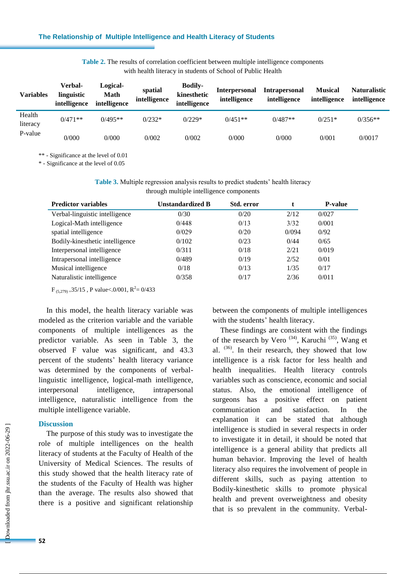| Table 2. The results of correlation coefficient between multiple intelligence components |                                                             |  |
|------------------------------------------------------------------------------------------|-------------------------------------------------------------|--|
|                                                                                          | with health literacy in students of School of Public Health |  |

| <b>Variables</b>   | Verbal-<br>linguistic<br>intelligence | Logical-<br>Math<br>intelligence | spatial<br>intelligence | <b>Bodily-</b><br>kinesthetic<br>intelligence | <b>Interpersonal</b><br>intelligence | <b>Intrapersonal</b><br>intelligence | <b>Musical</b><br>intelligence | <b>Naturalistic</b><br>intelligence |
|--------------------|---------------------------------------|----------------------------------|-------------------------|-----------------------------------------------|--------------------------------------|--------------------------------------|--------------------------------|-------------------------------------|
| Health<br>literacy | $0/471**$                             | $0/495**$                        | $0/232*$                | $0/229*$                                      | $0/451**$                            | $0/487**$                            | $0/251*$                       | $0/356**$                           |
| P-value            | 0/000                                 | 0/000                            | 0/002                   | 0/002                                         | 0/000                                | 0/000                                | 0/001                          | 0/0017                              |

\*\* - Significance at the level of 0.01

\* - Significance at the level of 0.05

**Table 3.** Multiple regression analysis results to predict students' health literacy through multiple intelligence components

| <b>Predictor variables</b>      | <b>Unstandardized B</b> | Std. error |       | <b>P-value</b> |
|---------------------------------|-------------------------|------------|-------|----------------|
| Verbal-linguistic intelligence  | 0/30                    | 0/20       | 2/12  | 0/027          |
| Logical-Math intelligence       | 0/448                   | 0/13       | 3/32  | 0/001          |
| spatial intelligence            | 0/029                   | 0/20       | 0/094 | 0/92           |
| Bodily-kinesthetic intelligence | 0/102                   | 0/23       | 0/44  | 0/65           |
| Interpersonal intelligence      | 0/311                   | 0/18       | 2/21  | 0/019          |
| Intrapersonal intelligence      | 0/489                   | 0/19       | 2/52  | 0/01           |
| Musical intelligence            | 0/18                    | 0/13       | 1/35  | 0/17           |
| Naturalistic intelligence       | 0/358                   | 0/17       | 2/36  | 0/011          |

 $F_{(5,279)} = 35/15$ , P value < 0/001, R<sup>2</sup> = 0/433

In this model, the health literacy variable was modeled as the criterion variable and the variable components of multiple intelligences as the predictor variable. As seen in Table 3, the observed F value was significant, and 43.3 percent of the students' health literacy variance was determined by the components of verballinguistic intelligence, logical-math intelligence, interpersonal intelligence, intrapersonal intelligence, naturalistic intelligence from the multiple intelligence variable.

#### **Discussion**

The purpose of this study was to investigate the role of multiple intelligences on the health literacy of students at the Faculty of Health of the University of Medical Sciences. The results of this study showed that the health literacy rate of the students of the Faculty of Health was higher than the average. The results also showed that there is a positive and significant relationship between the components of multiple intelligences with the students' health literacy.

These findings are consistent with the findings of the research by Vero<sup> $(34)$ </sup>, Karuchi<sup> $(35)$ </sup>, Wang et al. (36) . In their research, they showed that low intelligence is a risk factor for less health and health inequalities. Health literacy controls variables such as conscience, economic and social status. Also, the emotional intelligence of surgeons has a positive effect on patient communication and satisfaction. In the explanation it can be stated that although intelligence is studied in several respects in order to investigate it in detail, it should be noted that intelligence is a general ability that predicts all human behavior. Improving the level of health literacy also requires the involvement of people in different skills, such as paying attention to Bodily-kinesthetic skills to promote physical health and prevent overweightness and obesity that is so prevalent in the community. Verbal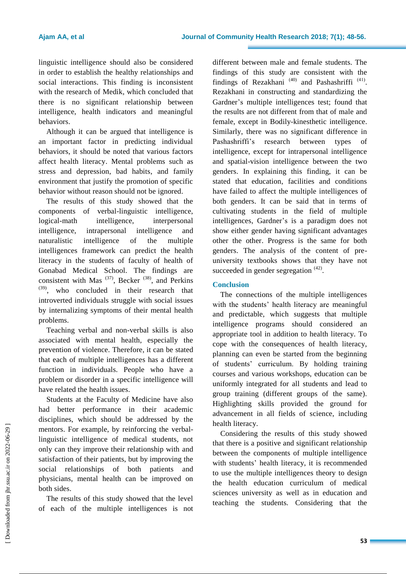linguistic intelligence should also be considered in order to establish the healthy relationships and social interactions. This finding is inconsistent with the research of Medik, which concluded that there is no significant relationship between intelligence, health indicators and meaningful behaviors.

Although it can be argued that intelligence is an important factor in predicting individual behaviors, it should be noted that various factors affect health literacy. Mental problems such as stress and depression, bad habits, and family environment that justify the promotion of specific behavior without reason should not be ignored.

The results of this study showed that the components of verbal-linguistic intelligence, logical-math intelligence, interpersonal intelligence, intrapersonal intelligence and naturalistic intelligence of the multiple intelligences framework can predict the health literacy in the students of faculty of health of Gonabad Medical School. The findings are consistent with Mas  $(37)$ , Becker  $(38)$ , and Perkins (39), who concluded in their research that introverted individuals struggle with social issues by internalizing symptoms of their mental health problems.

Teaching verbal and non-verbal skills is also associated with mental health, especially the prevention of violence. Therefore, it can be stated that each of multiple intelligences has a different function in individuals. People who have a problem or disorder in a specific intelligence will have related the health issues.

Students at the Faculty of Medicine have also had better performance in their academic disciplines, which should be addressed by the mentors. For example, by reinforcing the verballinguistic intelligence of medical students, not only can they improve their relationship with and satisfaction of their patients, but by improving the social relationships of both patients and physicians, mental health can be improved on both sides.

The results of this study showed that the level of each of the multiple intelligences is not different between male and female students. The findings of this study are consistent with the findings of Rezakhani<sup>(40)</sup> and Pashashriffi<sup>(41)</sup>. Rezakhani in constructing and standardizing the Gardner"s multiple intelligences test; found that the results are not different from that of male and female, except in Bodily-kinesthetic intelligence. Similarly, there was no significant difference in Pashashriffi's research between types of intelligence, except for intrapersonal intelligence and spatial-vision intelligence between the two genders. In explaining this finding, it can be stated that education, facilities and conditions have failed to affect the multiple intelligences of both genders. It can be said that in terms of cultivating students in the field of multiple intelligences, Gardner"s is a paradigm does not show either gender having significant advantages other the other. Progress is the same for both genders. The analysis of the content of preuniversity textbooks shows that they have not succeeded in gender segregation <sup>(42)</sup>.

# **Conclusion**

The connections of the multiple intelligences with the students' health literacy are meaningful and predictable, which suggests that multiple intelligence programs should considered an appropriate tool in addition to health literacy. To cope with the consequences of health literacy, planning can even be started from the beginning of students" curriculum. By holding training courses and various workshops, education can be uniformly integrated for all students and lead to group training (different groups of the same). Highlighting skills provided the ground for advancement in all fields of science, including health literacy.

Considering the results of this study showed that there is a positive and significant relationship between the components of multiple intelligence with students' health literacy, it is recommended to use the multiple intelligences theory to design the health education curriculum of medical sciences university as well as in education and teaching the students. Considering that the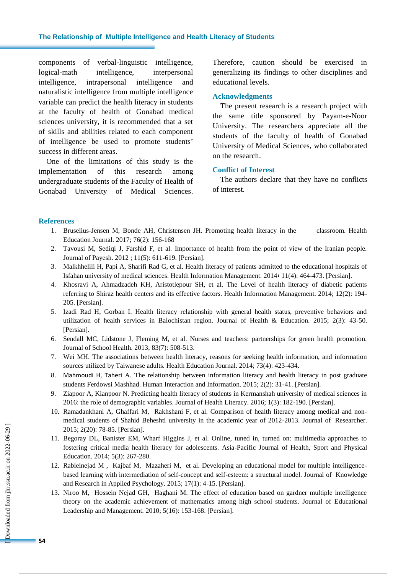#### **The Relationship of Multiple Intelligence and Health Literacy of Students**

components of verbal-linguistic intelligence, logical-math intelligence, interpersonal intelligence, intrapersonal intelligence and naturalistic intelligence from multiple intelligence variable can predict the health literacy in students at the faculty of health of Gonabad medical sciences university, it is recommended that a set of skills and abilities related to each component of intelligence be used to promote students" success in different areas.

One of the limitations of this study is the implementation of this research among undergraduate students of the Faculty of Health of Gonabad University of Medical Sciences. Therefore, caution should be exercised in generalizing its findings to other disciplines and educational levels.

#### **Acknowledgments**

The present research is a research project with the same title sponsored by Payam-e-Noor University. The researchers appreciate all the students of the faculty of health of Gonabad University of Medical Sciences, who collaborated on the research.

#### **Conflict of Interest**

The authors declare that they have no conflicts of interest.

#### **References**

- 1. Bruselius-Jensen M, Bonde AH, Christensen JH. Promoting health literacy in the classroom. Health Education Journal. 2017; 76(2): 156-168
- 2. Tavousi M, Sediqi J, Farshid F, et al. Importance of health from the point of view of the Iranian people. Journal of Payesh. 2012 ; 11(5): 611-619. [Persian].
- 3. Malkhhelili H, Papi A, Sharifi Rad G, et al. Health literacy of patients admitted to the educational hospitals of Isfahan university of medical sciences. Health Information Management. 2014: 11(4): 464-473. [Persian].
- 4. Khosravi A, Ahmadzadeh KH, Aristotlepour SH, et al. The Level of health literacy of diabetic patients referring to Shiraz health centers and its effective factors. Health Information Management. 2014; 12(2): 194- 205. [Persian].
- 5. Izadi Rad H, Gorban I. Health literacy relationship with general health status, preventive behaviors and utilization of health services in Balochistan region. Journal of Health & Education. 2015; 2(3): 43-50. [Persian].
- 6. Sendall MC, Lidstone J, Fleming M, et al. Nurses and teachers: partnerships for green health promotion. Journal of School Health. 2013; 83(7): 508-513.
- 7. Wei MH. The associations between health literacy, reasons for seeking health information, and information sources utilized by Taiwanese adults. Health Education Journal. 2014; 73(4): 423-434.
- 8. Mahmoudi H, Taheri A. The relationship between information literacy and health literacy in post graduate students Ferdowsi Mashhad. Human Interaction and Information. 2015; 2(2): 31-41. [Persian].
- 9. Ziapoor A, Kianpoor N. Predicting health literacy of students in Kermanshah university of medical sciences in 2016: the role of demographic variables. Journal of Health Literacy. 2016; 1(3): 182-190. [Persian].
- 10. Ramadankhani A, Ghaffari M, Rakhshani F, et al. Comparison of health literacy among medical and nonmedical students of Shahid Beheshti university in the academic year of 2012-2013. Journal of Researcher. 2015; 2(20): 78-85. [Persian].
- 11. Begoray DL, Banister EM, Wharf Higgins J, et al. Online, tuned in, turned on: multimedia approaches to fostering critical media health literacy for adolescents. Asia-Pacific Journal of Health, Sport and Physical Education. 2014; 5(3): 267-280.
- 12. Rabieinejad M , Kajbaf M, Mazaheri M, et al. Developing an educational model for multiple intelligencebased learning with intermediation of self-concept and self-esteem: a structural model. Journal of Knowledge and Research in Applied Psychology. 2015; 17(1): 4-15. [Persian].
- 13. Niroo M, Hossein Nejad GH, Haghani M. The effect of education based on gardner multiple intelligence theory on the academic achievement of mathematics among high school students. Journal of Educational Leadership and Management. 2010; 5(16): 153-168. [Persian].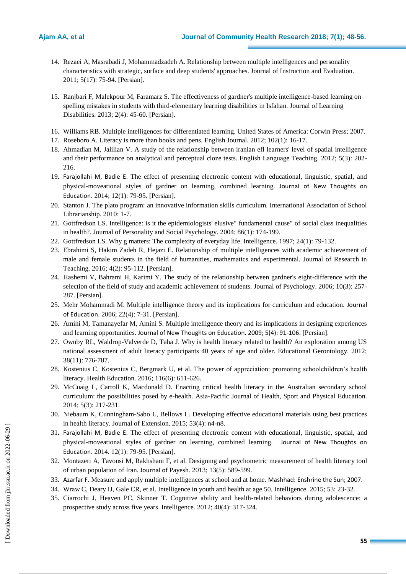- 14. Rezaei A, Masrabadi J, Mohammadzadeh A. Relationship between multiple intelligences and personality characteristics with strategic, surface and deep students' approaches. Journal of Instruction and Evaluation. 2011; 5(17): 75-94. [Persian].
- 15. Ranjbari F, Malekpour M, Faramarz S. The effectiveness of gardner's multiple intelligence-based learning on spelling mistakes in students with third-elementary learning disabilities in Isfahan. Journal of Learning Disabilities. 2013; 2(4): 45-60. [Persian].
- 16. Williams RB. Multiple intelligences for differentiated learning. United States of America: Corwin Press; 2007.
- 17. Roseboro A. Literacy is more than books and pens. English Journal. 2012; 102(1): 16-17.
- 18. Ahmadian M, Jalilian V. A study of the relationship between iranian efl learners' level of spatial intelligence and their performance on analytical and perceptual cloze tests. English Language Teaching. 2012; 5(3): 202- 216.
- 19. Farajollahi M, Badie E. The effect of presenting electronic content with educational, linguistic, spatial, and physical-moveational styles of gardner on learning, combined learning. Journal of New Thoughts on Education. 2014; 12(1): 79-95. [Persian].
- 20. Stanton J. The plato program: an innovative information skills curriculum. International Association of School Librarianship. 2010: 1-7.
- 21. Gottfredson LS. Intelligence: is it the epidemiologists' elusive" fundamental cause" of social class inequalities in health?. Journal of Personality and Social Psychology. 2004; 86(1): 174-199.
- 22. Gottfredson LS. Why g matters: The complexity of everyday life. Intelligence. 1997; 24(1): 79-132.
- 23. Ebrahimi S, Hakim Zadeh R, Hejazi E. Relationship of multiple intelligences with academic achievement of male and female students in the field of humanities, mathematics and experimental. Journal of Research in Teaching. 2016; 4(2): 95-112. [Persian].
- 24. Hashemi V, Bahrami H, Karimi Y. The study of the relationship between gardner's eight-difference with the selection of the field of study and academic achievement of students. Journal of Psychology. 2006; 10(3): 257- 287. [Persian].
- 25. Mehr Mohammadi M. Multiple intelligence theory and its implications for curriculum and education. Journal of Education. 2006; 22(4): 7-31. [Persian].
- 26. Amini M, Tamanayefar M, Amini S. Multiple intelligence theory and its implications in designing experiences and learning opportunities. Journal of New Thoughts on Education. 2009; 5(4): 91-106. [Persian].
- 27. Ownby RL, Waldrop-Valverde D, Taha J. Why is health literacy related to health? An exploration among US national assessment of adult literacy participants 40 years of age and older. Educational Gerontology. 2012; 38(11): 776-787.
- 28. Kostenius C, Kostenius C, Bergmark U, et al. The power of appreciation: promoting schoolchildren"s health literacy. Health Education. 2016; 116(6): 611-626.
- 29. McCuaig L, Carroll K, Macdonald D. Enacting critical health literacy in the Australian secondary school curriculum: the possibilities posed by e-health. Asia-Pacific Journal of Health, Sport and Physical Education. 2014; 5(3): 217-231.
- 30. Niebaum K, Cunningham-Sabo L, Bellows L. Developing effective educational materials using best practices in health literacy. Journal of Extension. 2015; 53(4): n4-n8.
- 31. Farajollahi M, Badie E. The effect of presenting electronic content with educational, linguistic, spatial, and physical-moveational styles of gardner on learning, combined learning. Journal of New Thoughts on Education. 2014. 12(1): 79-95. [Persian].
- 32. Montazeri A, Tavousi M, Rakhshani F, et al. Designing and psychometric measurement of health literacy tool of urban population of Iran. Journal of Payesh. 2013; 13(5): 589-599.
- 33. Azarfar F. Measure and apply multiple intelligences at school and at home. Mashhad: Enshrine the Sun; 2007.
- 34. Wraw C, Deary IJ, Gale CR, et al. Intelligence in youth and health at age 50. Intelligence. 2015; 53: 23-32.
- 35. Ciarrochi J, Heaven PC, Skinner T. Cognitive ability and health-related behaviors during adolescence: a prospective study across five years. Intelligence. 2012; 40(4): 317-324.